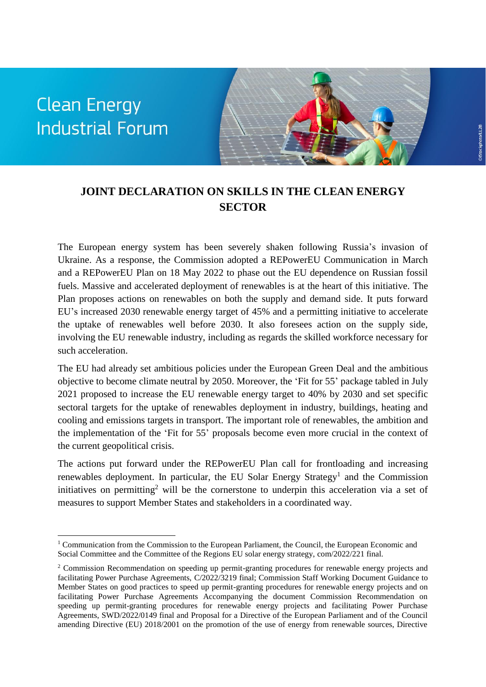# **Clean Energy Industrial Forum**

 $\overline{a}$ 



### **JOINT DECLARATION ON SKILLS IN THE CLEAN ENERGY SECTOR**

The European energy system has been severely shaken following Russia's invasion of Ukraine. As a response, the Commission adopted a REPowerEU Communication in March and a REPowerEU Plan on 18 May 2022 to phase out the EU dependence on Russian fossil fuels. Massive and accelerated deployment of renewables is at the heart of this initiative. The Plan proposes actions on renewables on both the supply and demand side. It puts forward EU's increased 2030 renewable energy target of 45% and a permitting initiative to accelerate the uptake of renewables well before 2030. It also foresees action on the supply side, involving the EU renewable industry, including as regards the skilled workforce necessary for such acceleration.

The EU had already set ambitious policies under the European Green Deal and the ambitious objective to become climate neutral by 2050. Moreover, the 'Fit for 55' package tabled in July 2021 proposed to increase the EU renewable energy target to 40% by 2030 and set specific sectoral targets for the uptake of renewables deployment in industry, buildings, heating and cooling and emissions targets in transport. The important role of renewables, the ambition and the implementation of the 'Fit for 55' proposals become even more crucial in the context of the current geopolitical crisis.

The actions put forward under the REPowerEU Plan call for frontloading and increasing renewables deployment. In particular, the EU Solar Energy Strategy<sup>1</sup> and the Commission initiatives on permitting<sup>2</sup> will be the cornerstone to underpin this acceleration via a set of measures to support Member States and stakeholders in a coordinated way.

<sup>1</sup> Communication from the Commission to the European Parliament, the Council, the European Economic and Social Committee and the Committee of the Regions EU solar energy strategy, com/2022/221 final.

<sup>&</sup>lt;sup>2</sup> Commission Recommendation on speeding up permit-granting procedures for renewable energy projects and facilitating Power Purchase Agreements, C/2022/3219 final; Commission Staff Working Document Guidance to Member States on good practices to speed up permit-granting procedures for renewable energy projects and on facilitating Power Purchase Agreements Accompanying the document Commission Recommendation on speeding up permit-granting procedures for renewable energy projects and facilitating Power Purchase Agreements, SWD/2022/0149 final and Proposal for a Directive of the European Parliament and of the Council amending Directive (EU) 2018/2001 on the promotion of the use of energy from renewable sources, Directive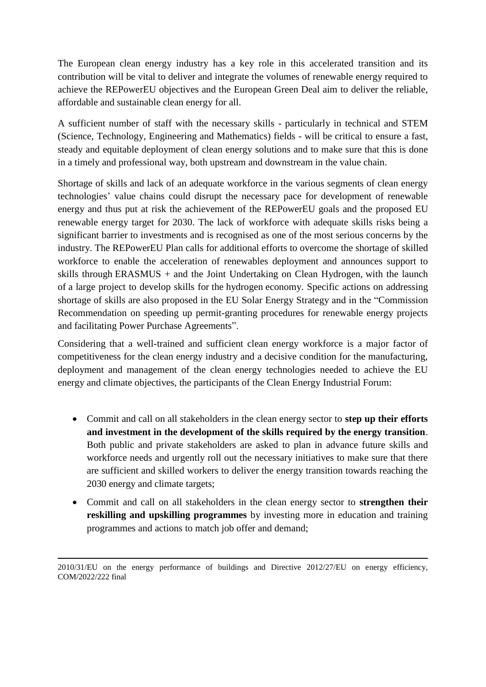The European clean energy industry has a key role in this accelerated transition and its contribution will be vital to deliver and integrate the volumes of renewable energy required to achieve the REPowerEU objectives and the European Green Deal aim to deliver the reliable, affordable and sustainable clean energy for all.

A sufficient number of staff with the necessary skills - particularly in technical and STEM (Science, Technology, Engineering and Mathematics) fields - will be critical to ensure a fast, steady and equitable deployment of clean energy solutions and to make sure that this is done in a timely and professional way, both upstream and downstream in the value chain.

Shortage of skills and lack of an adequate workforce in the various segments of clean energy technologies' value chains could disrupt the necessary pace for development of renewable energy and thus put at risk the achievement of the REPowerEU goals and the proposed EU renewable energy target for 2030. The lack of workforce with adequate skills risks being a significant barrier to investments and is recognised as one of the most serious concerns by the industry. The REPowerEU Plan calls for additional efforts to overcome the shortage of skilled workforce to enable the acceleration of renewables deployment and announces support to skills through ERASMUS + and the Joint Undertaking on Clean Hydrogen, with the launch of a large project to develop skills for the hydrogen economy. Specific actions on addressing shortage of skills are also proposed in the EU Solar Energy Strategy and in the "Commission Recommendation on speeding up permit-granting procedures for renewable energy projects and facilitating Power Purchase Agreements".

Considering that a well-trained and sufficient clean energy workforce is a major factor of competitiveness for the clean energy industry and a decisive condition for the manufacturing, deployment and management of the clean energy technologies needed to achieve the EU energy and climate objectives, the participants of the Clean Energy Industrial Forum:

- Commit and call on all stakeholders in the clean energy sector to **step up their efforts and investment in the development of the skills required by the energy transition**. Both public and private stakeholders are asked to plan in advance future skills and workforce needs and urgently roll out the necessary initiatives to make sure that there are sufficient and skilled workers to deliver the energy transition towards reaching the 2030 energy and climate targets;
- Commit and call on all stakeholders in the clean energy sector to **strengthen their reskilling and upskilling programmes** by investing more in education and training programmes and actions to match job offer and demand;

 $\ddot{\phantom{a}}$ 

<sup>2010/31/</sup>EU on the energy performance of buildings and Directive 2012/27/EU on energy efficiency, COM/2022/222 final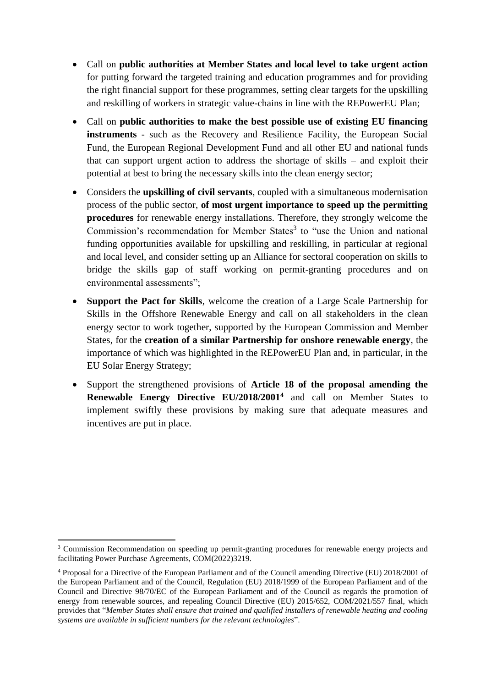- Call on **public authorities at Member States and local level to take urgent action** for putting forward the targeted training and education programmes and for providing the right financial support for these programmes, setting clear targets for the upskilling and reskilling of workers in strategic value-chains in line with the REPowerEU Plan;
- Call on **public authorities to make the best possible use of existing EU financing instruments** - such as the Recovery and Resilience Facility, the European Social Fund, the European Regional Development Fund and all other EU and national funds that can support urgent action to address the shortage of skills – and exploit their potential at best to bring the necessary skills into the clean energy sector;
- Considers the **upskilling of civil servants**, coupled with a simultaneous modernisation process of the public sector, **of most urgent importance to speed up the permitting procedures** for renewable energy installations. Therefore, they strongly welcome the Commission's recommendation for Member States<sup>3</sup> to "use the Union and national funding opportunities available for upskilling and reskilling, in particular at regional and local level, and consider setting up an Alliance for sectoral cooperation on skills to bridge the skills gap of staff working on permit-granting procedures and on environmental assessments";
- **Support the Pact for Skills**, welcome the creation of a Large Scale Partnership for Skills in the Offshore Renewable Energy and call on all stakeholders in the clean energy sector to work together, supported by the European Commission and Member States, for the **creation of a similar Partnership for onshore renewable energy**, the importance of which was highlighted in the REPowerEU Plan and, in particular, in the EU Solar Energy Strategy;
- Support the strengthened provisions of **Article 18 of the proposal amending the Renewable Energy Directive EU/2018/2001<sup>4</sup>** and call on Member States to implement swiftly these provisions by making sure that adequate measures and incentives are put in place.

<sup>1</sup> <sup>3</sup> Commission Recommendation on speeding up permit-granting procedures for renewable energy projects and facilitating Power Purchase Agreements, COM(2022)3219.

<sup>4</sup> Proposal for a Directive of the European Parliament and of the Council amending Directive (EU) 2018/2001 of the European Parliament and of the Council, Regulation (EU) 2018/1999 of the European Parliament and of the Council and Directive 98/70/EC of the European Parliament and of the Council as regards the promotion of energy from renewable sources, and repealing Council Directive (EU) 2015/652, COM/2021/557 final, which provides that "*Member States shall ensure that trained and qualified installers of renewable heating and cooling systems are available in sufficient numbers for the relevant technologies*".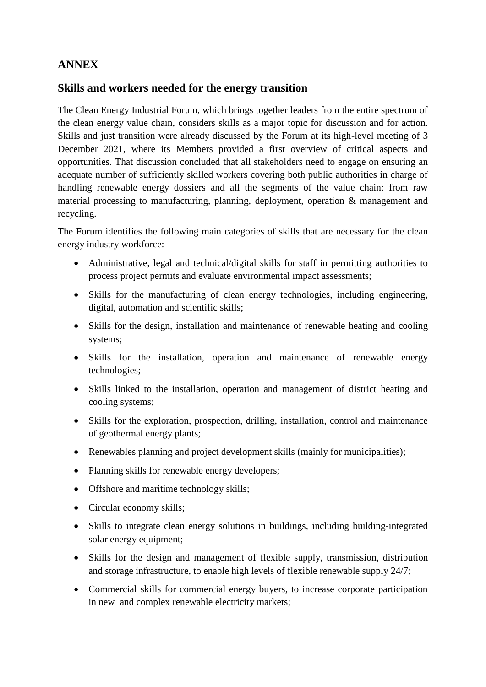## **ANNEX**

#### **Skills and workers needed for the energy transition**

The Clean Energy Industrial Forum, which brings together leaders from the entire spectrum of the clean energy value chain, considers skills as a major topic for discussion and for action. Skills and just transition were already discussed by the Forum at its high-level meeting of 3 December 2021, where its Members provided a first overview of critical aspects and opportunities. That discussion concluded that all stakeholders need to engage on ensuring an adequate number of sufficiently skilled workers covering both public authorities in charge of handling renewable energy dossiers and all the segments of the value chain: from raw material processing to manufacturing, planning, deployment, operation & management and recycling.

The Forum identifies the following main categories of skills that are necessary for the clean energy industry workforce:

- Administrative, legal and technical/digital skills for staff in permitting authorities to process project permits and evaluate environmental impact assessments;
- Skills for the manufacturing of clean energy technologies, including engineering, digital, automation and scientific skills;
- Skills for the design, installation and maintenance of renewable heating and cooling systems;
- Skills for the installation, operation and maintenance of renewable energy technologies;
- Skills linked to the installation, operation and management of district heating and cooling systems;
- Skills for the exploration, prospection, drilling, installation, control and maintenance of geothermal energy plants;
- Renewables planning and project development skills (mainly for municipalities);
- Planning skills for renewable energy developers;
- Offshore and maritime technology skills;
- Circular economy skills;
- Skills to integrate clean energy solutions in buildings, including building-integrated solar energy equipment;
- Skills for the design and management of flexible supply, transmission, distribution and storage infrastructure, to enable high levels of flexible renewable supply 24/7;
- Commercial skills for commercial energy buyers, to increase corporate participation in new and complex renewable electricity markets;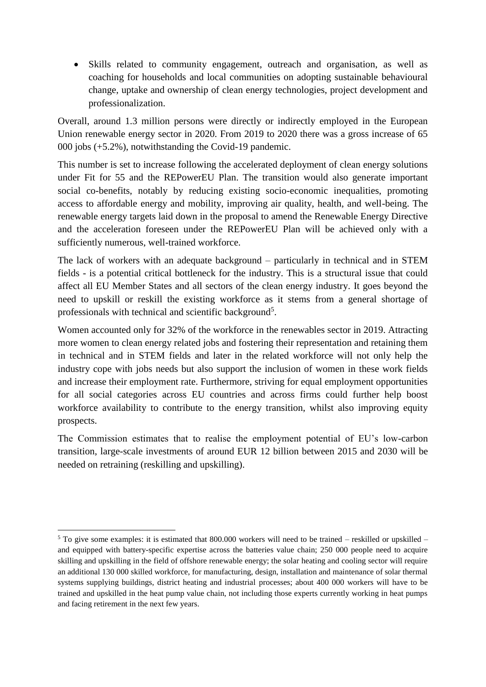Skills related to community engagement, outreach and organisation, as well as coaching for households and local communities on adopting sustainable behavioural change, uptake and ownership of clean energy technologies, project development and professionalization.

Overall, around 1.3 million persons were directly or indirectly employed in the European Union renewable energy sector in 2020. From 2019 to 2020 there was a gross increase of 65 000 jobs (+5.2%), notwithstanding the Covid-19 pandemic.

This number is set to increase following the accelerated deployment of clean energy solutions under Fit for 55 and the REPowerEU Plan. The transition would also generate important social co-benefits, notably by reducing existing socio-economic inequalities, promoting access to affordable energy and mobility, improving air quality, health, and well-being. The renewable energy targets laid down in the proposal to amend the Renewable Energy Directive and the acceleration foreseen under the REPowerEU Plan will be achieved only with a sufficiently numerous, well-trained workforce.

The lack of workers with an adequate background – particularly in technical and in STEM fields - is a potential critical bottleneck for the industry. This is a structural issue that could affect all EU Member States and all sectors of the clean energy industry. It goes beyond the need to upskill or reskill the existing workforce as it stems from a general shortage of professionals with technical and scientific background<sup>5</sup>.

Women accounted only for 32% of the workforce in the renewables sector in 2019. Attracting more women to clean energy related jobs and fostering their representation and retaining them in technical and in STEM fields and later in the related workforce will not only help the industry cope with jobs needs but also support the inclusion of women in these work fields and increase their employment rate. Furthermore, striving for equal employment opportunities for all social categories across EU countries and across firms could further help boost workforce availability to contribute to the energy transition, whilst also improving equity prospects.

The Commission estimates that to realise the employment potential of EU's low-carbon transition, large-scale investments of around EUR 12 billion between 2015 and 2030 will be needed on retraining (reskilling and upskilling).

**.** 

 $5$  To give some examples: it is estimated that 800.000 workers will need to be trained – reskilled or upskilled – and equipped with battery-specific expertise across the batteries value chain; 250 000 people need to acquire skilling and upskilling in the field of offshore renewable energy; the solar heating and cooling sector will require an additional 130 000 skilled workforce, for manufacturing, design, installation and maintenance of solar thermal systems supplying buildings, district heating and industrial processes; about 400 000 workers will have to be trained and upskilled in the heat pump value chain, not including those experts currently working in heat pumps and facing retirement in the next few years.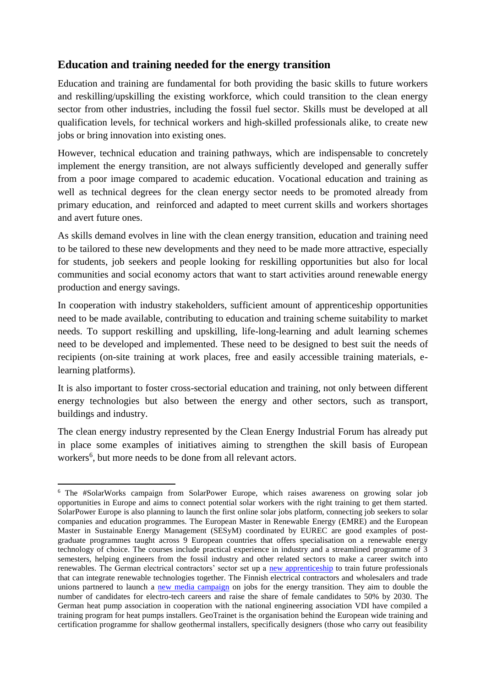## **Education and training needed for the energy transition**

Education and training are fundamental for both providing the basic skills to future workers and reskilling/upskilling the existing workforce, which could transition to the clean energy sector from other industries, including the fossil fuel sector. Skills must be developed at all qualification levels, for technical workers and high-skilled professionals alike, to create new jobs or bring innovation into existing ones.

However, technical education and training pathways, which are indispensable to concretely implement the energy transition, are not always sufficiently developed and generally suffer from a poor image compared to academic education. Vocational education and training as well as technical degrees for the clean energy sector needs to be promoted already from primary education, and reinforced and adapted to meet current skills and workers shortages and avert future ones.

As skills demand evolves in line with the clean energy transition, education and training need to be tailored to these new developments and they need to be made more attractive, especially for students, job seekers and people looking for reskilling opportunities but also for local communities and social economy actors that want to start activities around renewable energy production and energy savings.

In cooperation with industry stakeholders, sufficient amount of apprenticeship opportunities need to be made available, contributing to education and training scheme suitability to market needs. To support reskilling and upskilling, life-long-learning and adult learning schemes need to be developed and implemented. These need to be designed to best suit the needs of recipients (on-site training at work places, free and easily accessible training materials, elearning platforms).

It is also important to foster cross-sectorial education and training, not only between different energy technologies but also between the energy and other sectors, such as transport, buildings and industry.

The clean energy industry represented by the Clean Energy Industrial Forum has already put in place some examples of initiatives aiming to strengthen the skill basis of European workers<sup>6</sup>, but more needs to be done from all relevant actors.

 $\overline{a}$ 

<sup>6</sup> The [#SolarWorks](https://g.co/solarworks) campaign from SolarPower Europe, which raises awareness on growing solar job opportunities in Europe and aims to connect potential solar workers with the right training to get them started. SolarPower Europe is also planning to launch the first online solar jobs platform, connecting job seekers to solar companies and education programmes. The European Master in Renewable Energy (EMRE) and the European Master in Sustainable Energy Management (SESyM) coordinated by EUREC are good examples of postgraduate programmes taught across 9 European countries that offers specialisation on a renewable energy technology of choice. The courses include practical experience in industry and a streamlined programme of 3 semesters, helping engineers from the fossil industry and other related sectors to make a career switch into renewables. The German electrical contractors' sector set up a [new apprenticeship](https://www.zveh.de/news/detailansicht/neuer-ausbildungsberuf-ab-2021-jetzt-nachwuchssuche-starten.html) to train future professionals that can integrate renewable technologies together. The Finnish electrical contractors and wholesalers and trade unions partnered to launch a [new media campaign](https://www-stul-fi.translate.goog/sahkoalan-nakymaton-voima-vetovoimakampanja-starttaa/?_x_tr_sl=fi&_x_tr_tl=en&_x_tr_hl=en&_x_tr_pto=nui,sc) on jobs for the energy transition. They aim to double the number of candidates for electro-tech careers and raise the share of female candidates to 50% by 2030. The German heat pump association in cooperation with the national engineering association VDI have compiled a training program for heat pumps installers. GeoTrainet is the organisation behind the European wide training and certification programme for shallow geothermal installers, specifically designers (those who carry out feasibility